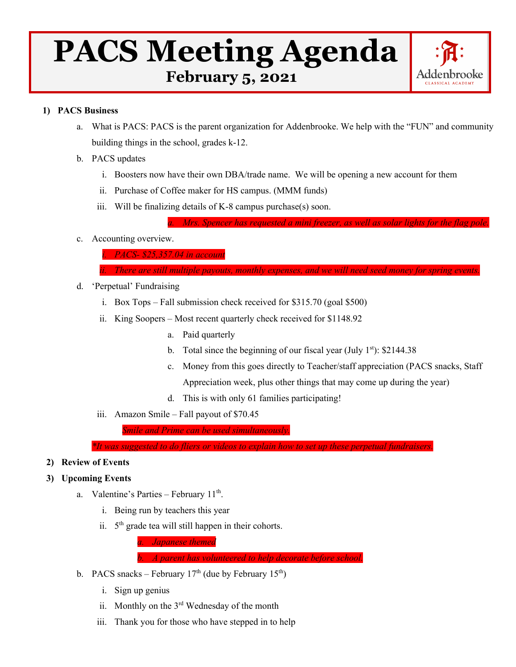# **PACS Meeting Agenda**<br>February 5, 2021



# **1) PACS Business**

- a. What is PACS: PACS is the parent organization for Addenbrooke. We help with the "FUN" and community building things in the school, grades k-12.
- b. PACS updates
	- i. Boosters now have their own DBA/trade name. We will be opening a new account for them
	- ii. Purchase of Coffee maker for HS campus. (MMM funds)
	- iii. Will be finalizing details of K-8 campus purchase(s) soon.

*Mrs. Spencer has requested a mini freezer, as well as solar lights for the flag pole*.

- c. Accounting overview.
	- *i. PACS- \$25,357.04 in account*
	- *ii. There are still multiple payouts, monthly expenses, and we will need seed money for spring events.*
- d. 'Perpetual' Fundraising
	- i. Box Tops Fall submission check received for \$315.70 (goal \$500)
	- ii. King Soopers Most recent quarterly check received for \$1148.92
		- a. Paid quarterly
		- b. Total since the beginning of our fiscal year (July  $1<sup>st</sup>$ ): \$2144.38
		- c. Money from this goes directly to Teacher/staff appreciation (PACS snacks, Staff Appreciation week, plus other things that may come up during the year)
		- d. This is with only 61 families participating!
	- iii. Amazon Smile Fall payout of \$70.45

*Smile and Prime can be used simultaneously.*

*\*It was suggested to do fliers or videos to explain how to set up these perpetual fundraisers.*

## **2) Review of Events**

## **3) Upcoming Events**

- a. Valentine's Parties February  $11<sup>th</sup>$ .
	- i. Being run by teachers this year
	- ii.  $5<sup>th</sup>$  grade tea will still happen in their cohorts.

*a. Japanese themed*

*b. A parent has volunteered to help decorate before school.*

- b. PACS snacks February  $17<sup>th</sup>$  (due by February  $15<sup>th</sup>$ )
	- i. Sign up genius
	- ii. Monthly on the  $3<sup>rd</sup>$  Wednesday of the month
	- iii. Thank you for those who have stepped in to help